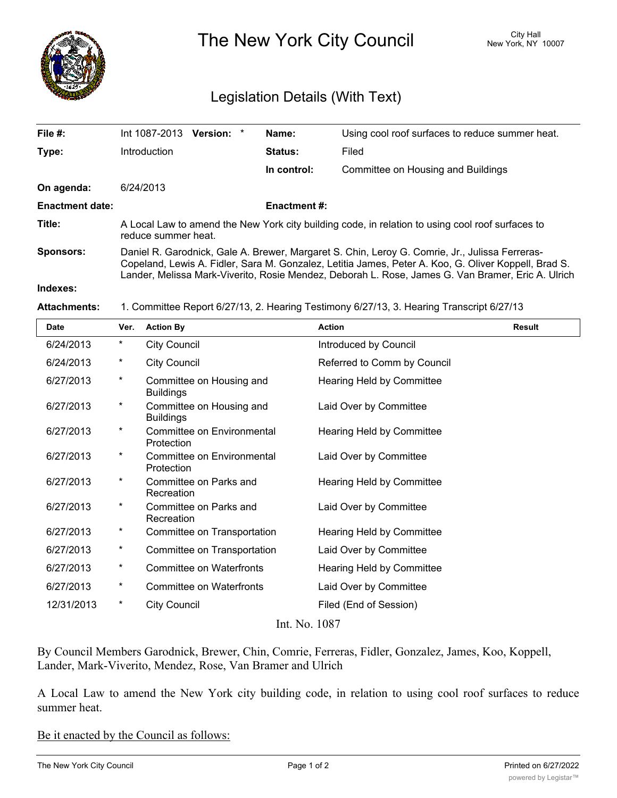

The New York City Council New York, NY 10007

## Legislation Details (With Text)

| File $#$ :             | Int 1087-2013<br><b>Version:</b>                                                                                                                                                                                                                                                                            | $\ast$ | Name:               | Using cool roof surfaces to reduce summer heat. |  |
|------------------------|-------------------------------------------------------------------------------------------------------------------------------------------------------------------------------------------------------------------------------------------------------------------------------------------------------------|--------|---------------------|-------------------------------------------------|--|
| Type:                  | Introduction                                                                                                                                                                                                                                                                                                |        | <b>Status:</b>      | Filed                                           |  |
|                        |                                                                                                                                                                                                                                                                                                             |        | In control:         | Committee on Housing and Buildings              |  |
| On agenda:             | 6/24/2013                                                                                                                                                                                                                                                                                                   |        |                     |                                                 |  |
| <b>Enactment date:</b> |                                                                                                                                                                                                                                                                                                             |        | <b>Enactment #:</b> |                                                 |  |
| Title:                 | A Local Law to amend the New York city building code, in relation to using cool roof surfaces to<br>reduce summer heat.                                                                                                                                                                                     |        |                     |                                                 |  |
| <b>Sponsors:</b>       | Daniel R. Garodnick, Gale A. Brewer, Margaret S. Chin, Leroy G. Comrie, Jr., Julissa Ferreras-<br>Copeland, Lewis A. Fidler, Sara M. Gonzalez, Letitia James, Peter A. Koo, G. Oliver Koppell, Brad S.<br>Lander, Melissa Mark-Viverito, Rosie Mendez, Deborah L. Rose, James G. Van Bramer, Eric A. Ulrich |        |                     |                                                 |  |
| Indexes:               |                                                                                                                                                                                                                                                                                                             |        |                     |                                                 |  |

## **Attachments:** 1. Committee Report 6/27/13, 2. Hearing Testimony 6/27/13, 3. Hearing Transcript 6/27/13

| <b>Date</b>   | Ver.     | <b>Action By</b>                             | <b>Action</b>                    | <b>Result</b> |  |  |  |
|---------------|----------|----------------------------------------------|----------------------------------|---------------|--|--|--|
| 6/24/2013     | $\star$  | <b>City Council</b>                          | Introduced by Council            |               |  |  |  |
| 6/24/2013     | $\star$  | <b>City Council</b>                          | Referred to Comm by Council      |               |  |  |  |
| 6/27/2013     | $\star$  | Committee on Housing and<br><b>Buildings</b> | <b>Hearing Held by Committee</b> |               |  |  |  |
| 6/27/2013     | $^\star$ | Committee on Housing and<br><b>Buildings</b> | Laid Over by Committee           |               |  |  |  |
| 6/27/2013     | $\star$  | Committee on Environmental<br>Protection     | Hearing Held by Committee        |               |  |  |  |
| 6/27/2013     | $\star$  | Committee on Environmental<br>Protection     | Laid Over by Committee           |               |  |  |  |
| 6/27/2013     | $\star$  | Committee on Parks and<br>Recreation         | Hearing Held by Committee        |               |  |  |  |
| 6/27/2013     | $^\star$ | Committee on Parks and<br>Recreation         | Laid Over by Committee           |               |  |  |  |
| 6/27/2013     | $^\star$ | Committee on Transportation                  | Hearing Held by Committee        |               |  |  |  |
| 6/27/2013     | $\star$  | Committee on Transportation                  | Laid Over by Committee           |               |  |  |  |
| 6/27/2013     | $\star$  | <b>Committee on Waterfronts</b>              | Hearing Held by Committee        |               |  |  |  |
| 6/27/2013     | $\star$  | <b>Committee on Waterfronts</b>              | Laid Over by Committee           |               |  |  |  |
| 12/31/2013    | $^\star$ | <b>City Council</b>                          | Filed (End of Session)           |               |  |  |  |
| Int. No. 1087 |          |                                              |                                  |               |  |  |  |

By Council Members Garodnick, Brewer, Chin, Comrie, Ferreras, Fidler, Gonzalez, James, Koo, Koppell, Lander, Mark-Viverito, Mendez, Rose, Van Bramer and Ulrich

A Local Law to amend the New York city building code, in relation to using cool roof surfaces to reduce summer heat.

Be it enacted by the Council as follows: